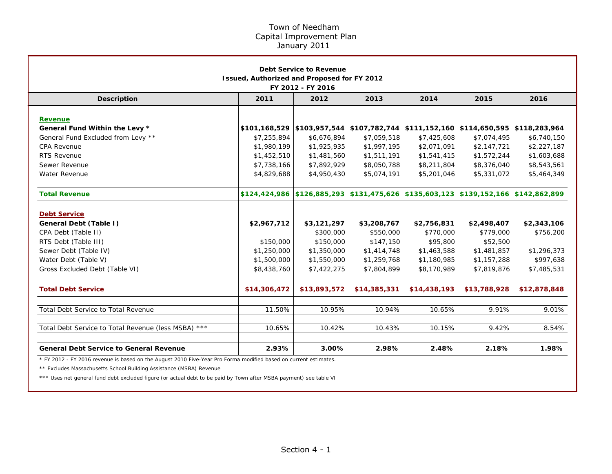| <b>Debt Service to Revenue</b><br>Issued, Authorized and Proposed for FY 2012<br>FY 2012 - FY 2016 |              |              |                                                                                           |              |              |              |  |  |  |  |  |
|----------------------------------------------------------------------------------------------------|--------------|--------------|-------------------------------------------------------------------------------------------|--------------|--------------|--------------|--|--|--|--|--|
| <b>Description</b>                                                                                 | 2011         | 2012         | 2013                                                                                      | 2014         | 2015         | 2016         |  |  |  |  |  |
| Revenue                                                                                            |              |              |                                                                                           |              |              |              |  |  |  |  |  |
| General Fund Within the Levy *                                                                     |              |              | $$101,168,529$ $$103,957,544$ $$107,782,744$ $$111,152,160$ $$114,650,595$ $$118,283,964$ |              |              |              |  |  |  |  |  |
| General Fund Excluded from Levy **                                                                 | \$7,255,894  | \$6,676,894  | \$7,059,518                                                                               | \$7,425,608  | \$7,074,495  | \$6,740,150  |  |  |  |  |  |
| CPA Revenue                                                                                        | \$1,980,199  | \$1,925,935  | \$1,997,195                                                                               | \$2,071,091  | \$2,147,721  | \$2,227,187  |  |  |  |  |  |
| RTS Revenue                                                                                        | \$1,452,510  | \$1,481,560  | \$1,511,191                                                                               | \$1,541,415  | \$1,572,244  | \$1,603,688  |  |  |  |  |  |
| Sewer Revenue                                                                                      | \$7,738,166  | \$7,892,929  | \$8,050,788                                                                               | \$8,211,804  | \$8,376,040  | \$8,543,561  |  |  |  |  |  |
| <b>Water Revenue</b>                                                                               | \$4,829,688  | \$4,950,430  | \$5,074,191                                                                               | \$5,201,046  | \$5,331,072  | \$5,464,349  |  |  |  |  |  |
| <b>Total Revenue</b>                                                                               |              |              | \$124,424,986 \$126,885,293 \$131,475,626 \$135,603,123 \$139,152,166 \$142,862,899       |              |              |              |  |  |  |  |  |
| <b>Debt Service</b>                                                                                |              |              |                                                                                           |              |              |              |  |  |  |  |  |
| General Debt (Table I)                                                                             | \$2,967,712  | \$3,121,297  | \$3,208,767                                                                               | \$2,756,831  | \$2,498,407  | \$2,343,106  |  |  |  |  |  |
| CPA Debt (Table II)                                                                                |              | \$300,000    | \$550,000                                                                                 | \$770,000    | \$779,000    | \$756,200    |  |  |  |  |  |
| RTS Debt (Table III)                                                                               | \$150,000    | \$150,000    | \$147,150                                                                                 | \$95,800     | \$52,500     |              |  |  |  |  |  |
| Sewer Debt (Table IV)                                                                              | \$1,250,000  | \$1,350,000  | \$1,414,748                                                                               | \$1,463,588  | \$1,481,857  | \$1,296,373  |  |  |  |  |  |
| Water Debt (Table V)                                                                               | \$1,500,000  | \$1,550,000  | \$1,259,768                                                                               | \$1,180,985  | \$1,157,288  | \$997,638    |  |  |  |  |  |
| Gross Excluded Debt (Table VI)                                                                     | \$8,438,760  | \$7,422,275  | \$7,804,899                                                                               | \$8,170,989  | \$7,819,876  | \$7,485,531  |  |  |  |  |  |
| <b>Total Debt Service</b>                                                                          | \$14,306,472 | \$13,893,572 | \$14,385,331                                                                              | \$14,438,193 | \$13,788,928 | \$12,878,848 |  |  |  |  |  |
| <b>Total Debt Service to Total Revenue</b>                                                         | 11.50%       | 10.95%       | 10.94%                                                                                    | 10.65%       | 9.91%        | 9.01%        |  |  |  |  |  |
| Total Debt Service to Total Revenue (less MSBA) ***                                                | 10.65%       | 10.42%       | 10.43%                                                                                    | 10.15%       | 9.42%        | 8.54%        |  |  |  |  |  |
| <b>General Debt Service to General Revenue</b>                                                     | 2.93%        | 3.00%        | 2.98%                                                                                     | 2.48%        | 2.18%        | 1.98%        |  |  |  |  |  |

\* FY 2012 - FY 2016 revenue is based on the August 2010 Five-Year Pro Forma modified based on current estimates.

\*\* Excludes Massachusetts School Building Assistance (MSBA) Revenue

\*\*\* Uses net general fund debt excluded figure (or actual debt to be paid by Town after MSBA payment) see table VI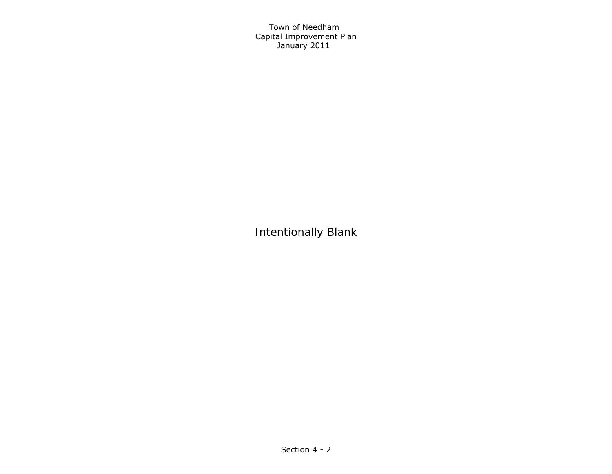Intentionally Blank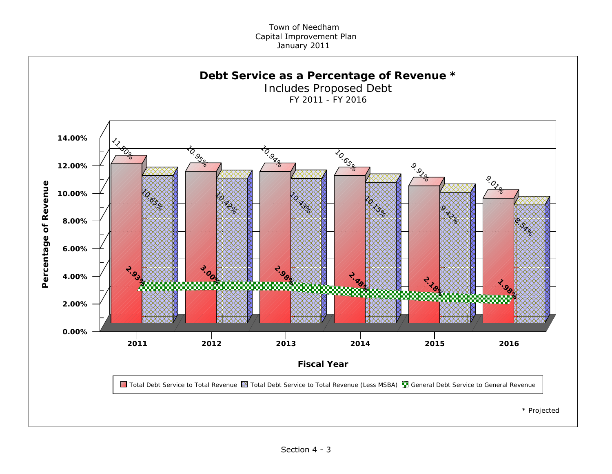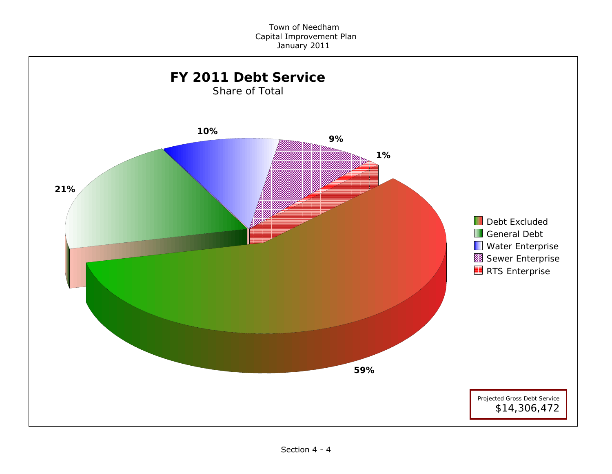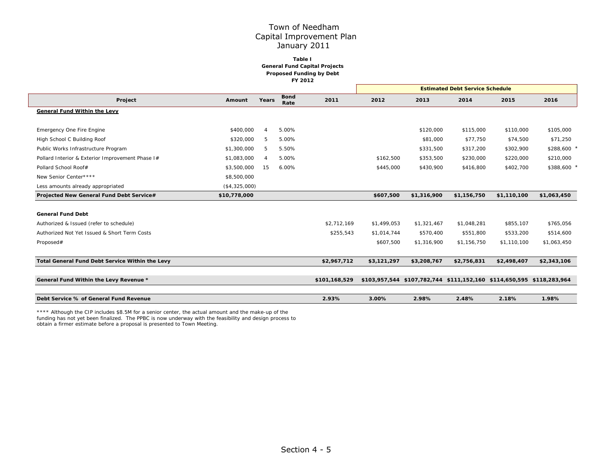#### **Table I General Fund Capital Projects Proposed Funding by Debt FY 2012**

|                                                  |               |                        |                     |               | <b>Estimated Debt Service Schedule</b> |             |                                                                       |             |             |
|--------------------------------------------------|---------------|------------------------|---------------------|---------------|----------------------------------------|-------------|-----------------------------------------------------------------------|-------------|-------------|
| Project                                          | Amount        | Years                  | <b>Bond</b><br>Rate | 2011          | 2012                                   | 2013        | 2014                                                                  | 2015        | 2016        |
| <b>General Fund Within the Levy</b>              |               |                        |                     |               |                                        |             |                                                                       |             |             |
|                                                  |               |                        |                     |               |                                        |             |                                                                       |             |             |
| <b>Emergency One Fire Engine</b>                 | \$400,000     | $\boldsymbol{\Lambda}$ | 5.00%               |               |                                        | \$120,000   | \$115,000                                                             | \$110,000   | \$105,000   |
| High School C Building Roof                      | \$320,000     | 5                      | 5.00%               |               |                                        | \$81,000    | \$77,750                                                              | \$74,500    | \$71,250    |
| Public Works Infrastructure Program              | \$1,300,000   | .5                     | 5.50%               |               |                                        | \$331,500   | \$317,200                                                             | \$302,900   | \$288,600   |
| Pollard Interior & Exterior Improvement Phase I# | \$1,083,000   | $\overline{4}$         | 5.00%               |               | \$162,500                              | \$353,500   | \$230,000                                                             | \$220,000   | \$210,000   |
| Pollard School Roof#                             | \$3,500,000   | 15                     | 6.00%               |               | \$445,000                              | \$430,900   | \$416,800                                                             | \$402,700   | \$388,600   |
| New Senior Center****                            | \$8,500,000   |                        |                     |               |                                        |             |                                                                       |             |             |
| Less amounts already appropriated                | (\$4,325,000) |                        |                     |               |                                        |             |                                                                       |             |             |
| Projected New General Fund Debt Service#         | \$10,778,000  |                        |                     |               | \$607,500                              | \$1,316,900 | \$1,156,750                                                           | \$1,110,100 | \$1,063,450 |
|                                                  |               |                        |                     |               |                                        |             |                                                                       |             |             |
| <b>General Fund Debt</b>                         |               |                        |                     |               |                                        |             |                                                                       |             |             |
| Authorized & Issued (refer to schedule)          |               |                        |                     | \$2,712,169   | \$1,499,053                            | \$1,321,467 | \$1,048,281                                                           | \$855,107   | \$765,056   |
| Authorized Not Yet Issued & Short Term Costs     |               |                        |                     | \$255,543     | \$1,014,744                            | \$570,400   | \$551,800                                                             | \$533,200   | \$514,600   |
| Proposed#                                        |               |                        |                     |               | \$607,500                              | \$1,316,900 | \$1,156,750                                                           | \$1,110,100 | \$1,063,450 |
| Total General Fund Debt Service Within the Levy  |               |                        |                     | \$2,967,712   | \$3,121,297                            | \$3,208,767 | \$2,756,831                                                           | \$2,498,407 | \$2,343,106 |
|                                                  |               |                        |                     |               |                                        |             |                                                                       |             |             |
| General Fund Within the Levy Revenue *           |               |                        |                     | \$101,168,529 |                                        |             | \$103,957,544 \$107,782,744 \$111,152,160 \$114,650,595 \$118,283,964 |             |             |
|                                                  |               |                        |                     |               |                                        |             |                                                                       |             |             |
| Debt Service % of General Fund Revenue           |               |                        |                     | 2.93%         | 3.00%                                  | 2.98%       | 2.48%                                                                 | 2.18%       | 1.98%       |

\*\*\*\* Although the CIP includes \$8.5M for a senior center, the actual amount and the make-up of the funding has not yet been finalized. The PPBC is now underway with the feasibility and design process to obtain a firmer estimate before a proposal is presented to Town Meeting.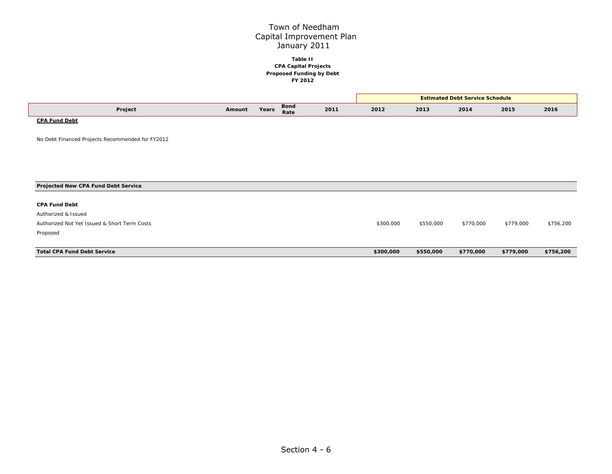#### **Table II CPA Capital Projects Proposed Funding by Debt FY 2012**

|                                                  |        |       |                             | <b>Estimated Debt Service Schedule</b> |           |           |           |           |
|--------------------------------------------------|--------|-------|-----------------------------|----------------------------------------|-----------|-----------|-----------|-----------|
| Project                                          | Amount | Years | <b>Bond</b><br>2011<br>Rate | 2012                                   | 2013      | 2014      | 2015      | 2016      |
| <b>CPA Fund Debt</b>                             |        |       |                             |                                        |           |           |           |           |
| No Debt Financed Projects Recommended for FY2012 |        |       |                             |                                        |           |           |           |           |
|                                                  |        |       |                             |                                        |           |           |           |           |
|                                                  |        |       |                             |                                        |           |           |           |           |
| Projected New CPA Fund Debt Service              |        |       |                             |                                        |           |           |           |           |
|                                                  |        |       |                             |                                        |           |           |           |           |
| <b>CPA Fund Debt</b>                             |        |       |                             |                                        |           |           |           |           |
| Authorized & Issued                              |        |       |                             |                                        |           |           |           |           |
| Authorized Not Yet Issued & Short Term Costs     |        |       |                             | \$300,000                              | \$550,000 | \$770,000 | \$779,000 | \$756,200 |
| Proposed                                         |        |       |                             |                                        |           |           |           |           |
| <b>Total CPA Fund Debt Service</b>               |        |       |                             | \$300,000                              | \$550,000 | \$770,000 | \$779,000 | \$756,200 |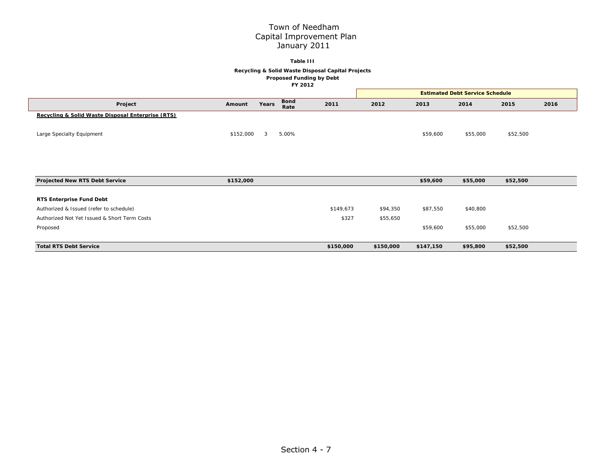#### **Table III**

#### **Recycling & Solid Waste Disposal Capital Projects**

**Proposed Funding by Debt**

| FY 2012 |  |
|---------|--|
|---------|--|

|                                                              |           |       |                     |      |      |          | <b>Estimated Debt Service Schedule</b> |          |      |
|--------------------------------------------------------------|-----------|-------|---------------------|------|------|----------|----------------------------------------|----------|------|
| Project                                                      | Amount    | Years | <b>Bond</b><br>Rate | 2011 | 2012 | 2013     | 2014                                   | 2015     | 2016 |
| <b>Recycling &amp; Solid Waste Disposal Enterprise (RTS)</b> |           |       |                     |      |      |          |                                        |          |      |
| Large Specialty Equipment                                    | \$152,000 |       | 5.00%               |      |      | \$59,600 | \$55,000                               | \$52,500 |      |

| <b>Projected New RTS Debt Service</b>        | \$152,000 |           | \$59,600  | \$55,000 | \$52,500 |
|----------------------------------------------|-----------|-----------|-----------|----------|----------|
|                                              |           |           |           |          |          |
| <b>RTS Enterprise Fund Debt</b>              |           |           |           |          |          |
| Authorized & Issued (refer to schedule)      | \$149,673 | \$94,350  | \$87,550  | \$40,800 |          |
| Authorized Not Yet Issued & Short Term Costs | \$327     | \$55,650  |           |          |          |
| Proposed                                     |           |           | \$59,600  | \$55,000 | \$52,500 |
|                                              |           |           |           |          |          |
| <b>Total RTS Debt Service</b>                | \$150,000 | \$150,000 | \$147,150 | \$95,800 | \$52,500 |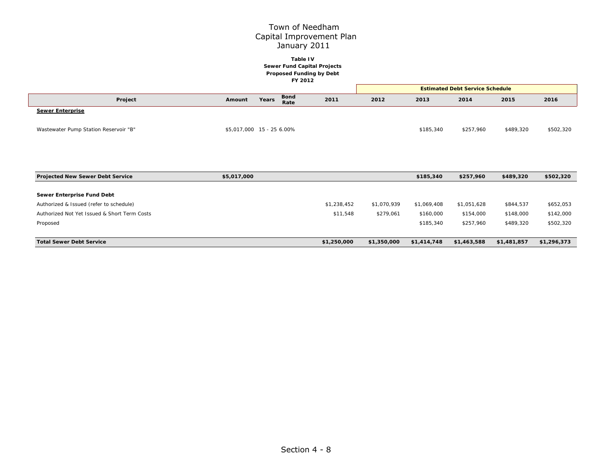#### **Table IV Sewer Fund Capital Projects Proposed Funding by Debt**

**FY 2012**

|                                       |                           |       |              |      |      |           | <b>Estimated Debt Service Schedule</b> |           |           |
|---------------------------------------|---------------------------|-------|--------------|------|------|-----------|----------------------------------------|-----------|-----------|
| Project                               | Amount                    | Years | Bond<br>Rate | 2011 | 2012 | 2013      | 2014                                   | 2015      | 2016      |
| <b>Sewer Enterprise</b>               |                           |       |              |      |      |           |                                        |           |           |
| Wastewater Pump Station Reservoir "B" | \$5,017,000 15 - 25 6.00% |       |              |      |      | \$185,340 | \$257,960                              | \$489,320 | \$502,320 |

| <b>Projected New Sewer Debt Service</b>      | \$5,017,000 |             | \$185,340   | \$257,960   | \$489,320   | \$502,320   |
|----------------------------------------------|-------------|-------------|-------------|-------------|-------------|-------------|
|                                              |             |             |             |             |             |             |
| Sewer Enterprise Fund Debt                   |             |             |             |             |             |             |
| Authorized & Issued (refer to schedule)      | \$1,238,452 | \$1,070,939 | \$1,069,408 | \$1,051,628 | \$844,537   | \$652,053   |
| Authorized Not Yet Issued & Short Term Costs | \$11,548    | \$279,061   | \$160,000   | \$154,000   | \$148,000   | \$142,000   |
| Proposed                                     |             |             | \$185,340   | \$257,960   | \$489,320   | \$502,320   |
|                                              |             |             |             |             |             |             |
| <b>Total Sewer Debt Service</b>              | \$1,250,000 | \$1,350,000 | \$1,414,748 | \$1,463,588 | \$1,481,857 | \$1,296,373 |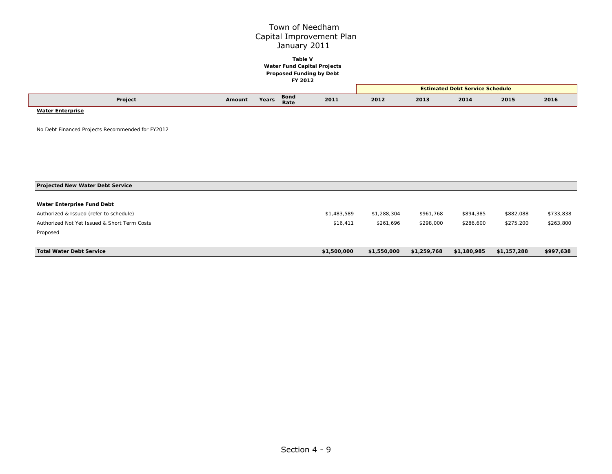#### **Table V Water Fund Capital Projects Proposed Funding by Debt**

**FY 2012**

|         |        |                              |      |      |      | <b>Estimated Debt Service Schedule</b> |      |      |
|---------|--------|------------------------------|------|------|------|----------------------------------------|------|------|
| Project | Amount | <b>Bond</b><br>Years<br>Rate | 2011 | 2012 | 2013 | 2014                                   | 2015 | 2016 |

**Water Enterprise**

No Debt Financed Projects Recommended for FY2012

| <b>Projected New Water Debt Service</b>      |             |             |             |             |             |           |
|----------------------------------------------|-------------|-------------|-------------|-------------|-------------|-----------|
|                                              |             |             |             |             |             |           |
| Water Enterprise Fund Debt                   |             |             |             |             |             |           |
| Authorized & Issued (refer to schedule)      | \$1,483,589 | \$1,288,304 | \$961,768   | \$894,385   | \$882,088   | \$733,838 |
| Authorized Not Yet Issued & Short Term Costs | \$16,411    | \$261,696   | \$298,000   | \$286,600   | \$275,200   | \$263,800 |
| Proposed                                     |             |             |             |             |             |           |
|                                              |             |             |             |             |             |           |
| <b>Total Water Debt Service</b>              | \$1,500,000 | \$1,550,000 | \$1,259,768 | \$1,180,985 | \$1,157,288 | \$997.638 |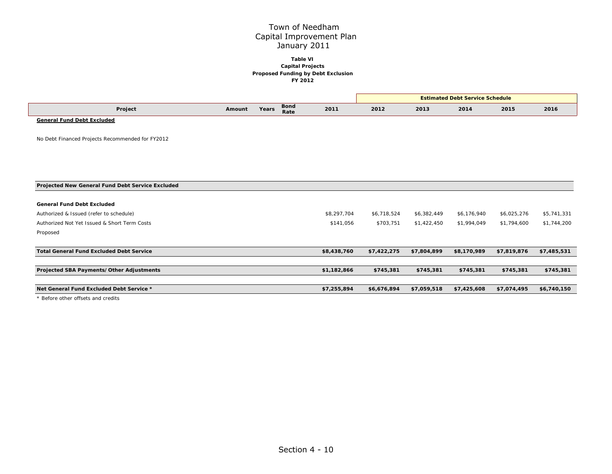### **Table VI Capital Projects Proposed Funding by Debt Exclusion FY 2012**

|                                                                                                                                                                                                                                   |        |       |                     |             |             |             | <b>Estimated Debt Service Schedule</b> |             |             |
|-----------------------------------------------------------------------------------------------------------------------------------------------------------------------------------------------------------------------------------|--------|-------|---------------------|-------------|-------------|-------------|----------------------------------------|-------------|-------------|
| Project                                                                                                                                                                                                                           | Amount | Years | <b>Bond</b><br>Rate | 2011        | 2012        | 2013        | 2014                                   | 2015        | 2016        |
| <b>General Fund Debt Excluded</b>                                                                                                                                                                                                 |        |       |                     |             |             |             |                                        |             |             |
| No Debt Financed Projects Recommended for FY2012                                                                                                                                                                                  |        |       |                     |             |             |             |                                        |             |             |
|                                                                                                                                                                                                                                   |        |       |                     |             |             |             |                                        |             |             |
|                                                                                                                                                                                                                                   |        |       |                     |             |             |             |                                        |             |             |
| Projected New General Fund Debt Service Excluded                                                                                                                                                                                  |        |       |                     |             |             |             |                                        |             |             |
| <b>General Fund Debt Excluded</b>                                                                                                                                                                                                 |        |       |                     |             |             |             |                                        |             |             |
| Authorized & Issued (refer to schedule)                                                                                                                                                                                           |        |       |                     | \$8,297,704 | \$6,718,524 | \$6,382,449 | \$6,176,940                            | \$6,025,276 | \$5,741,331 |
| Authorized Not Yet Issued & Short Term Costs                                                                                                                                                                                      |        |       |                     | \$141,056   | \$703,751   | \$1,422,450 | \$1,994,049                            | \$1,794,600 | \$1,744,200 |
| Proposed                                                                                                                                                                                                                          |        |       |                     |             |             |             |                                        |             |             |
| <b>Total General Fund Excluded Debt Service</b>                                                                                                                                                                                   |        |       |                     | \$8,438,760 | \$7,422,275 | \$7,804,899 | \$8,170,989                            | \$7,819,876 | \$7,485,531 |
| Projected SBA Payments/Other Adjustments                                                                                                                                                                                          |        |       |                     | \$1,182,866 | \$745,381   | \$745,381   | \$745,381                              | \$745,381   | \$745,381   |
| Net General Fund Excluded Debt Service *                                                                                                                                                                                          |        |       |                     | \$7,255,894 | \$6,676,894 | \$7,059,518 | \$7,425,608                            | \$7,074,495 | \$6,740,150 |
| $\mathbb{R}$ . The contract of the contract of the contract of the contract of the contract of the contract of the contract of the contract of the contract of the contract of the contract of the contract of the contract of th |        |       |                     |             |             |             |                                        |             |             |

\* Before other offsets and credits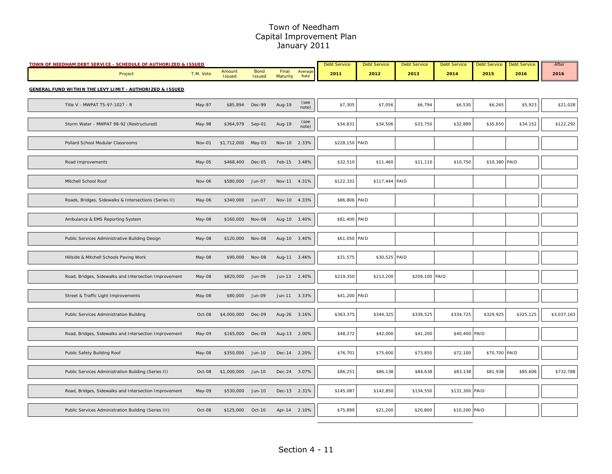| TOWN OF NEEDHAM DEBT SERVICE - SCHEDULE OF AUTHORIZED & ISSUED      |           |                  |                              |                   |                 | <b>Debt Service</b> | <b>Debt Service</b> | <b>Debt Service</b> | <b>Debt Service</b> | Debt Service  | <b>Debt Service</b> | After       |
|---------------------------------------------------------------------|-----------|------------------|------------------------------|-------------------|-----------------|---------------------|---------------------|---------------------|---------------------|---------------|---------------------|-------------|
| Project                                                             | T.M. Vote | Amount<br>Issued | <b>Bond</b><br><b>Issued</b> | Final<br>Maturity | Average<br>Rate | 2011                | 2012                | 2013                | 2014                | 2015          | 2016                | 2016        |
| <b>GENERAL FUND WITHIN THE LEVY LIMIT - AUTHORIZED &amp; ISSUED</b> |           |                  |                              |                   |                 |                     |                     |                     |                     |               |                     |             |
| Title V - MWPAT T5-97-1027 - R                                      | May-97    | \$85,894 Dec-99  |                              | Aug-19            | (see<br>note)   | \$7,305             | \$7,056             | \$6,794             | \$6,530             | \$6,265       | \$5,923             | \$21,028    |
| Storm Water - MWPAT 98-92 (Restructured)                            | May-98    | \$364,979 Sep-01 |                              | Aug-19            | (see<br>note)   | \$34,831            | \$34,506            | \$33,750            | \$32,889            | \$35,650      | \$34,152            | \$122,292   |
| Pollard School Modular Classrooms                                   | Nov-01    | \$1,712,000      | May-03                       | Nov-10 2.33%      |                 | \$228,150 PAID      |                     |                     |                     |               |                     |             |
| Road Improvements                                                   | May-05    | \$468,400        | Dec-05                       | Feb-15 3.48%      |                 | \$32,510            | \$11,460            | \$11,110            | \$10,750            | \$10,380 PAID |                     |             |
| Mitchell School Roof                                                | Nov-06    | \$580,000 Jun-07 |                              | Nov-11 4.31%      |                 | \$122,331           | \$117,444 PAID      |                     |                     |               |                     |             |
| Roads, Bridges, Sidewalks & Intersections (Series II)               | May-06    | \$340,000 Jun-07 |                              | Nov-10 4.33%      |                 | \$86,806 PAID       |                     |                     |                     |               |                     |             |
| Ambulance & EMS Reporting System                                    | May-08    | \$160,000 Nov-08 |                              | Aug-10 3.40%      |                 | \$81,400 PAID       |                     |                     |                     |               |                     |             |
| Public Services Administrative Building Design                      | May-08    | \$120,000        | Nov-08                       | Aug-10 3.40%      |                 | \$61,050 PAID       |                     |                     |                     |               |                     |             |
| Hillside & Mitchell Schools Paving Work                             | May-08    | \$90,000         | Nov-08                       | Aug-11 3.46%      |                 | \$31,575            | \$30,525 PAID       |                     |                     |               |                     |             |
| Road, Bridges, Sidewalks and Intersection Improvement               | May-08    | \$820,000        | Jun-09                       | Jun-13 2.40%      |                 | \$219,350           | \$213,200           | \$209,100 PAID      |                     |               |                     |             |
| Street & Traffic Light Improvements                                 | May-08    | \$80,000         | Jun-09                       | Jun-11 3.33%      |                 | \$41,200 PAID       |                     |                     |                     |               |                     |             |
| Public Services Administration Building                             | Oct-08    | \$4,000,000      | Dec-09                       | Aug-26 3.16%      |                 | \$363,375           | \$344,325           | \$339,525           | \$334,725           | \$329,925     | \$325,125           | \$3,037,163 |
| Road, Bridges, Sidewalks and Intersection Improvement               | May-09    | \$165,000        | Dec-09                       | Aug-13 2.00%      |                 | \$48,272            | \$42,000            | \$41,200            | \$40,400 PAID       |               |                     |             |
| Public Safety Building Roof                                         | May-08    | \$350,000        | Jun-10                       | Dec-14 2.20%      |                 | \$76,701            | \$75,600            | \$73,850            | \$72,100            | \$70,700 PAID |                     |             |
| Public Services Administration Building (Series II)                 | Oct-08    | \$1,000,000      | Jun-10                       | $Dec-24$          | 3.07%           | \$86,251            | \$86,138            | \$84,638            | \$83,138            | \$81,938      | \$85,606            | \$732,788   |
| Road, Bridges, Sidewalks and Intersection Improvement               | May-09    | \$530,000        | Jun-10                       | Dec-13 2.31%      |                 | \$145,087           | \$142,850           | \$134,550           | \$131,300 PAID      |               |                     |             |
| Public Services Administration Building (Series III)                | Oct-08    | \$125,000 Oct-10 |                              | Apr-14 2.10%      |                 | \$75,899            | \$21,200            | \$20,800            | \$10,200 PAID       |               |                     |             |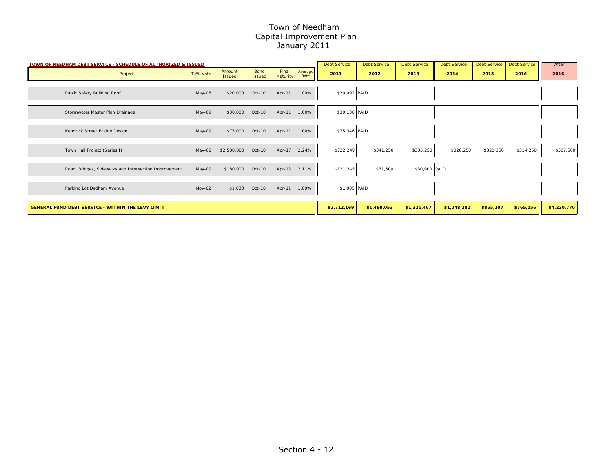| TOWN OF NEEDHAM DEBT SERVICE - SCHEDULE OF AUTHORIZED & ISSUED |           |                         |                              |                   |                 | <b>Debt Service</b> | Debt Service | <b>Debt Service</b> | <b>Debt Service</b> | Debt Service | <b>Debt Service</b> | After       |
|----------------------------------------------------------------|-----------|-------------------------|------------------------------|-------------------|-----------------|---------------------|--------------|---------------------|---------------------|--------------|---------------------|-------------|
| Project                                                        | T.M. Vote | Amount<br><b>Issued</b> | <b>Bond</b><br><b>Issued</b> | Final<br>Maturity | Average<br>Rate | 2011                | 2012         | 2013                | 2014                | 2015         | 2016                | 2016        |
|                                                                |           |                         |                              |                   |                 |                     |              |                     |                     |              |                     |             |
| Public Safety Building Roof                                    | May-08    | \$20,000                | Oct-10                       | Apr-11 1.00%      |                 | \$20,092 PAID       |              |                     |                     |              |                     |             |
|                                                                |           |                         |                              |                   |                 |                     |              |                     |                     |              |                     |             |
| Stormwater Master Plan Drainage                                | May-09    | \$30,000                | Oct-10                       |                   | Apr-11 1.00%    | \$30,138 PAID       |              |                     |                     |              |                     |             |
|                                                                |           |                         |                              |                   |                 |                     |              |                     |                     |              |                     |             |
| Kendrick Street Bridge Design                                  | May-09    | \$75,000                | Oct-10                       | Apr-11            | 1.00%           | \$75,346 PAID       |              |                     |                     |              |                     |             |
|                                                                |           |                         |                              |                   |                 |                     |              |                     |                     |              |                     |             |
| Town Hall Project (Series I)                                   | May-09    | \$2,500,000             | $Oct-10$                     |                   | Apr-17 2.24%    | \$722,249           | \$341,250    | \$335,250           | \$326,250           | \$320,250    | \$314,250           | \$307,500   |
|                                                                |           |                         |                              |                   |                 |                     |              |                     |                     |              |                     |             |
| Road, Bridges, Sidewalks and Intersection Improvement          | May-09    | \$180,000               | Oct-10                       | Apr-13            | 2.11%           | \$121,245           | \$31,500     | \$30,900 PAID       |                     |              |                     |             |
|                                                                |           |                         |                              |                   |                 |                     |              |                     |                     |              |                     |             |
| Parking Lot Dedham Avenue                                      | Nov-02    | \$1,000                 | Oct-10                       |                   | Apr-11 1.00%    | \$1,005 PAID        |              |                     |                     |              |                     |             |
|                                                                |           |                         |                              |                   |                 |                     |              |                     |                     |              |                     |             |
| <b>GENERAL FUND DEBT SERVICE - WITHIN THE LEVY LIMIT</b>       |           |                         |                              |                   |                 | \$2,712,169         | \$1,499,053  | \$1,321,467         | \$1,048,281         | \$855,107    | \$765,056           | \$4,220,770 |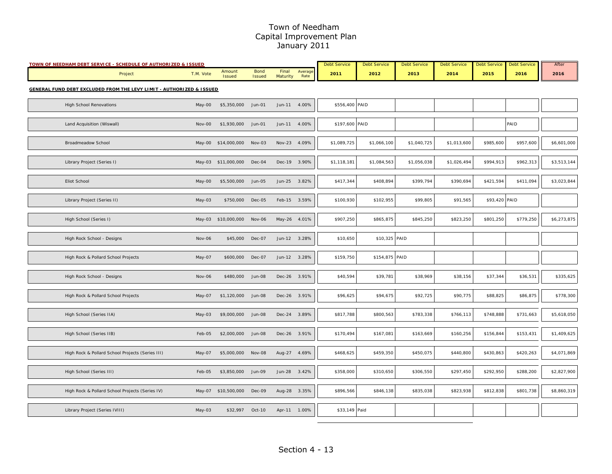| TOWN OF NEEDHAM DEBT SERVICE - SCHEDULE OF AUTHORIZED & ISSUED                  |           |                            |                              |                   |                 | <b>Debt Service</b> | <b>Debt Service</b> | <b>Debt Service</b> | <b>Debt Service</b> | <b>Debt Service</b> | <b>Debt Service</b> | After       |
|---------------------------------------------------------------------------------|-----------|----------------------------|------------------------------|-------------------|-----------------|---------------------|---------------------|---------------------|---------------------|---------------------|---------------------|-------------|
| Project                                                                         | T.M. Vote | Amount<br><b>Issued</b>    | <b>Bond</b><br><b>Issued</b> | Final<br>Maturity | Average<br>Rate | 2011                | 2012                | 2013                | 2014                | 2015                | 2016                | 2016        |
| <b>GENERAL FUND DEBT EXCLUDED FROM THE LEVY LIMIT - AUTHORIZED &amp; ISSUED</b> |           |                            |                              |                   |                 |                     |                     |                     |                     |                     |                     |             |
| <b>High School Renovations</b>                                                  |           | May-00 \$5,350,000 Jun-01  |                              | Jun-11 4.00%      |                 | \$556,400 PAID      |                     |                     |                     |                     |                     |             |
| Land Acquisition (Wiswall)                                                      | Nov-00    | \$1,930,000 Jun-01         |                              | Jun-11 4.00%      |                 | \$197,600 PAID      |                     |                     |                     |                     | PAID                |             |
| Broadmeadow School                                                              |           | May-00 \$14,000,000        | Nov-03                       | Nov-23 4.09%      |                 | \$1,089,725         | \$1,066,100         | \$1,040,725         | \$1,013,600         | \$985,600           | \$957,600           | \$6,601,000 |
| Library Project (Series I)                                                      |           | May-03 \$11,000,000        | Dec-04                       | Dec-19 3.90%      |                 | \$1,118,181         | \$1,084,563         | \$1,056,038         | \$1,026,494         | \$994,913           | \$962,313           | \$3,513,144 |
| Eliot School                                                                    | May-00    | \$5,500,000 Jun-05         |                              | Jun-25 3.82%      |                 | \$417,344           | \$408,894           | \$399,794           | \$390,694           | \$421,594           | \$411,094           | \$3,023,844 |
| Library Project (Series II)                                                     | May-03    | \$750,000                  | Dec-05                       | Feb-15 3.59%      |                 | \$100,930           | \$102,955           | \$99,805            | \$91,565            | \$93,420 PAID       |                     |             |
| High School (Series I)                                                          |           | May-03 \$10,000,000 Nov-06 |                              | May-26 4.01%      |                 | \$907,250           | \$865,875           | \$845,250           | \$823,250           | \$801,250           | \$779,250           | \$6,273,875 |
| High Rock School - Designs                                                      | Nov-06    | \$45,000                   | Dec-07                       | Jun-12 3.28%      |                 | \$10,650            | \$10,325 PAID       |                     |                     |                     |                     |             |
| High Rock & Pollard School Projects                                             | May-07    | \$600,000                  | Dec-07                       | Jun-12 3.28%      |                 | \$159,750           | \$154,875 PAID      |                     |                     |                     |                     |             |
| High Rock School - Designs                                                      | Nov-06    | \$480,000                  | Jun-08                       | Dec-26 3.91%      |                 | \$40,594            | \$39,781            | \$38,969            | \$38,156            | \$37,344            | \$36,531            | \$335,625   |
| High Rock & Pollard School Projects                                             | May-07    | \$1,120,000                | Jun-08                       | Dec-26 3.91%      |                 | \$96,625            | \$94,675            | \$92,725            | \$90,775            | \$88,825            | \$86,875            | \$778,300   |
| High School (Series IIA)                                                        | May-03    | \$9,000,000                | Jun-08                       | Dec-24 3.89%      |                 | \$817,788           | \$800,563           | \$783,338           | \$766,113           | \$748,888           | \$731,663           | \$5,618,050 |
| High School (Series IIB)                                                        | Feb-05    | \$2,000,000                | Jun-08                       | $Dec-26$          | 3.91%           | \$170,494           | \$167,081           | \$163,669           | \$160,256           | \$156,844           | \$153,431           | \$1,409,625 |
| High Rock & Pollard School Projects (Series III)                                | May-07    | \$5,000,000                | <b>Nov-08</b>                | Aug-27 4.69%      |                 | \$468,625           | \$459,350           | \$450,075           | \$440,800           | \$430,863           | \$420,263           | \$4,071,869 |
| High School (Series III)                                                        | Feb-05    | \$3,850,000                | Jun-09                       | Jun-28            | 3.42%           | \$358,000           | \$310,650           | \$306,550           | \$297,450           | \$292,950           | \$288,200           | \$2,827,900 |
| High Rock & Pollard School Projects (Series IV)                                 |           | May-07 \$10,500,000        | Dec-09                       | Aug-28 3.35%      |                 | \$896,566           | \$846,138           | \$835,038           | \$823,938           | \$812,838           | \$801,738           | \$8,860,319 |
| Library Project (Series IVIII)                                                  | May-03    | \$32,997 Oct-10            |                              | Apr-11 1.00%      |                 | \$33,149 Paid       |                     |                     |                     |                     |                     |             |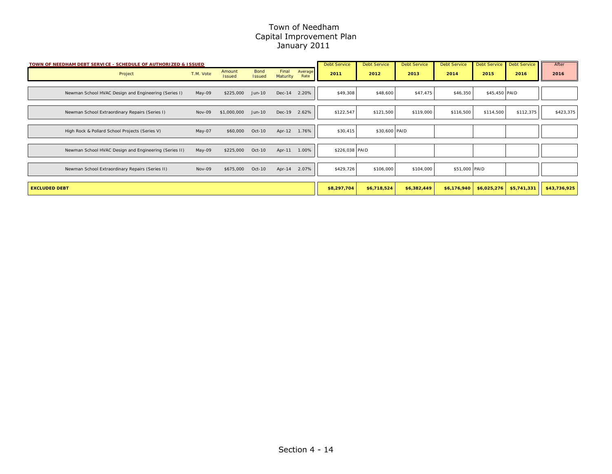|                      | <b>TOWN OF NEEDHAM DEBT SERVICE - SCHEDULE OF AUTHORIZED &amp; ISSUED</b> |           |                         |                              |                   |                 | <b>Debt Service</b> | <b>Debt Service</b> | <b>Debt Service</b> | <b>Debt Service</b> | Debt Service Debt Service |             | After        |
|----------------------|---------------------------------------------------------------------------|-----------|-------------------------|------------------------------|-------------------|-----------------|---------------------|---------------------|---------------------|---------------------|---------------------------|-------------|--------------|
|                      | Project                                                                   | T.M. Vote | Amount<br><b>Issued</b> | <b>Bond</b><br><b>Issued</b> | Final<br>Maturity | Average<br>Rate | 2011                | 2012                | 2013                | 2014                | 2015                      | 2016        | 2016         |
|                      |                                                                           |           |                         |                              |                   |                 |                     |                     |                     |                     |                           |             |              |
|                      | Newman School HVAC Design and Engineering (Series I)                      | May-09    | \$225,000               | Jun-10                       | Dec-14            | 2.20%           | \$49,308            | \$48,600            | \$47,475            | \$46,350            | \$45,450 PAID             |             |              |
|                      |                                                                           |           |                         |                              |                   |                 |                     |                     |                     |                     |                           |             |              |
|                      | Newman School Extraordinary Repairs (Series I)                            | Nov-09    | \$1,000,000             | Jun-10                       | Dec-19            | 2.62%           | \$122,547           | \$121,500           | \$119,000           | \$116,500           | \$114,500                 | \$112,375   | \$423,375    |
|                      |                                                                           |           |                         |                              |                   |                 |                     |                     |                     |                     |                           |             |              |
|                      | High Rock & Pollard School Projects (Series V)                            | May-07    | \$60,000                | Oct-10                       |                   | Apr-12 1.76%    | \$30,415            | \$30,600 PAID       |                     |                     |                           |             |              |
|                      |                                                                           |           |                         |                              |                   |                 |                     |                     |                     |                     |                           |             |              |
|                      | Newman School HVAC Design and Engineering (Series II)                     | May-09    | \$225,000               | $Oct-10$                     | Apr-11            | 1.00%           | \$226,038 PAID      |                     |                     |                     |                           |             |              |
|                      |                                                                           |           |                         |                              |                   |                 |                     |                     |                     |                     |                           |             |              |
|                      | Newman School Extraordinary Repairs (Series II)                           | Nov-09    | \$675,000               | Oct-10                       | Apr-14            | 2.07%           | \$429,726           | \$106,000           | \$104,000           | \$51,000 PAID       |                           |             |              |
|                      |                                                                           |           |                         |                              |                   |                 |                     |                     |                     |                     |                           |             |              |
| <b>EXCLUDED DEBT</b> |                                                                           |           |                         |                              |                   |                 | \$8,297,704         | \$6,718,524         | \$6,382,449         | \$6,176,940         | \$6,025,276               | \$5,741,331 | \$43,736,925 |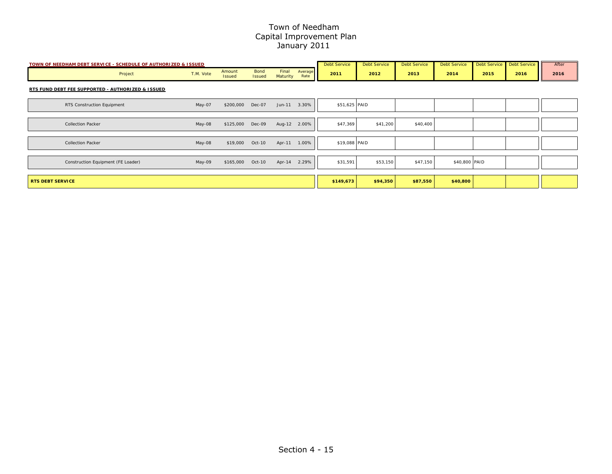| <b>TOWN OF NEEDHAM DEBT SERVICE - SCHEDULE OF AUTHORIZED &amp; ISSUED</b> |           |                         |                              |                   |                 | <b>Debt Service</b> | <b>Debt Service</b> | <b>Debt Service</b> | <b>Debt Service</b> |      | Debt Service Debt Service | After |
|---------------------------------------------------------------------------|-----------|-------------------------|------------------------------|-------------------|-----------------|---------------------|---------------------|---------------------|---------------------|------|---------------------------|-------|
| Project                                                                   | T.M. Vote | Amount<br><b>Issued</b> | <b>Bond</b><br><b>Issued</b> | Final<br>Maturity | Average<br>Rate | 2011                | 2012                | 2013                | 2014                | 2015 | 2016                      | 2016  |
| <b>RTS FUND DEBT FEE SUPPORTED - AUTHORIZED &amp; ISSUED</b>              |           |                         |                              |                   |                 |                     |                     |                     |                     |      |                           |       |
| RTS Construction Equipment                                                | May-07    | \$200,000 Dec-07        |                              | Jun-11            | 3.30%           | \$51,625 PAID       |                     |                     |                     |      |                           |       |
|                                                                           |           |                         |                              |                   |                 |                     |                     |                     |                     |      |                           |       |
| <b>Collection Packer</b>                                                  | May-08    | \$125,000               | Dec-09                       | Aug-12 2.00%      |                 | \$47,369            | \$41,200            | \$40,400            |                     |      |                           |       |
|                                                                           |           |                         |                              |                   |                 |                     |                     |                     |                     |      |                           |       |
| <b>Collection Packer</b>                                                  | May-08    | \$19,000                | Oct-10                       | Apr-11            | 1.00%           | \$19,088 PAID       |                     |                     |                     |      |                           |       |
|                                                                           |           |                         |                              |                   |                 |                     |                     |                     |                     |      |                           |       |
| Construction Equipment (FE Loader)                                        | May-09    | \$165,000               | $Oct-10$                     |                   | Apr-14 2.29%    | \$31,591            | \$53,150            | \$47,150            | \$40,800 PAID       |      |                           |       |
|                                                                           |           |                         |                              |                   |                 |                     |                     |                     |                     |      |                           |       |
| <b>RTS DEBT SERVICE</b>                                                   |           |                         |                              |                   |                 | \$149,673           | \$94,350            | \$87,550            | \$40,800            |      |                           |       |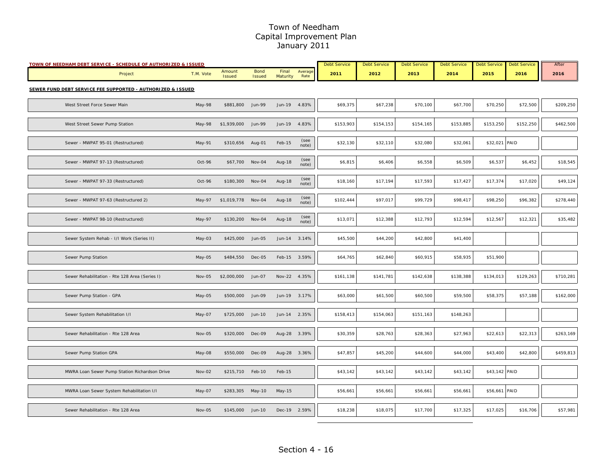| TOWN OF NEEDHAM DEBT SERVICE - SCHEDULE OF AUTHORIZED & ISSUED |           |                    |                              |                   |                 | <b>Debt Service</b> | <b>Debt Service</b> | <b>Debt Service</b> | <b>Debt Service</b> | <b>Debt Service</b> | <b>Debt Service</b> | After     |
|----------------------------------------------------------------|-----------|--------------------|------------------------------|-------------------|-----------------|---------------------|---------------------|---------------------|---------------------|---------------------|---------------------|-----------|
| Project                                                        | T.M. Vote | Amount<br>Issued   | <b>Bond</b><br><b>Issued</b> | Final<br>Maturity | Average<br>Rate | 2011                | 2012                | 2013                | 2014                | 2015                | 2016                | 2016      |
| SEWER FUND DEBT SERVICE FEE SUPPORTED - AUTHORIZED & ISSUED    |           |                    |                              |                   |                 |                     |                     |                     |                     |                     |                     |           |
| West Street Force Sewer Main                                   | May-98    | \$881,800 Jun-99   |                              |                   | Jun-19 4.83%    | \$69,375            | \$67,238            | \$70,100            | \$67,700            | \$70,250            | \$72,500            | \$209,250 |
| West Street Sewer Pump Station                                 | May-98    | \$1,939,000 Jun-99 |                              |                   | Jun-19 4.83%    | \$153,903           | \$154,153           | \$154,165           | \$153,885           | \$153,250           | \$152.250           | \$462,500 |
| Sewer - MWPAT 95-01 (Restructured)                             | May-91    | \$310,656 Aug-01   |                              | Feb-15            | (see<br>note)   | \$32,130            | \$32,110            | \$32,080            | \$32,061            | \$32,021 PAID       |                     |           |
| Sewer - MWPAT 97-13 (Restructured)                             | Oct-96    | \$67,700           | Nov-04                       | Aug-18            | (see<br>note)   | \$6,815             | \$6,406             | \$6,558             | \$6,509             | \$6,537             | \$6,452             | \$18,545  |
| Sewer - MWPAT 97-33 (Restructured)                             | Oct-96    | \$180,300          | Nov-04                       | Aug-18            | (see<br>note)   | \$18,160            | \$17,194            | \$17,593            | \$17,427            | \$17,374            | \$17,020            | \$49,124  |
| Sewer - MWPAT 97-63 (Restructured 2)                           | May-97    | \$1,019,778 Nov-04 |                              | Aug-18            | (see<br>note)   | \$102,444           | \$97,017            | \$99,729            | \$98,417            | \$98,250            | \$96,382            | \$278,440 |
| Sewer - MWPAT 98-10 (Restructured)                             | May-97    | \$130,200 Nov-04   |                              | Aug-18            | (see<br>note)   | \$13,071            | \$12,388            | \$12,793            | \$12,594            | \$12,567            | \$12,321            | \$35,482  |
| Sewer System Rehab - I/I Work (Series II)                      | May-03    | \$425,000 Jun-05   |                              |                   | Jun-14 3.14%    | \$45,500            | \$44,200            | \$42,800            | \$41,400            |                     |                     |           |
| Sewer Pump Station                                             | May-05    | \$484,550          | Dec-05                       |                   | Feb-15 3.59%    | \$64,765            | \$62,840            | \$60,915            | \$58,935            | \$51,900            |                     |           |
| Sewer Rehabilitation - Rte 128 Area (Series I)                 | Nov-05    | \$2,000,000        | Jun-07                       |                   | Nov-22 4.35%    | \$161,138           | \$141,781           | \$142,638           | \$138,388           | \$134,013           | \$129,263           | \$710,281 |
| Sewer Pump Station - GPA                                       | May-05    | \$500,000          | Jun-09                       |                   | Jun-19 3.17%    | \$63,000            | \$61,500            | \$60,500            | \$59,500            | \$58,375            | \$57,188            | \$162,000 |
| Sewer System Rehabilitation I/I                                | May-07    | \$725,000          | $Jun-10$                     |                   | Jun-14 2.35%    | \$158,413           | \$154,063           | \$151,163           | \$148,263           |                     |                     |           |
| Sewer Rehabilitation - Rte 128 Area                            | Nov-05    | \$320,000 Dec-09   |                              |                   | Aug-28 3.39%    | \$30,359            | \$28,763            | \$28,363            | \$27,963            | \$22,613            | \$22,313            | \$263,169 |
| Sewer Pump Station GPA                                         | May-08    | \$550,000 Dec-09   |                              |                   | Aug-28 3.36%    | \$47,857            | \$45,200            | \$44,600            | \$44,000            | \$43,400            | \$42,800            | \$459,813 |
| MWRA Loan Sewer Pump Station Richardson Drive                  | Nov-02    | \$215,710 Feb-10   |                              | Feb-15            |                 | \$43,142            | \$43,142            | \$43,142            | \$43,142            | \$43,142 PAID       |                     |           |
| MWRA Loan Sewer System Rehabilitation I/I                      | May-07    | \$283,305 May-10   |                              | $May-15$          |                 | \$56,661            | \$56,661            | \$56,661            | \$56,661            | \$56,661 PAID       |                     |           |
| Sewer Rehabilitation - Rte 128 Area                            | Nov-05    | \$145,000 Jun-10   |                              | Dec-19 2.59%      |                 | \$18,238            | \$18,075            | \$17,700            | \$17,325            | \$17,025            | \$16,706            | \$57,981  |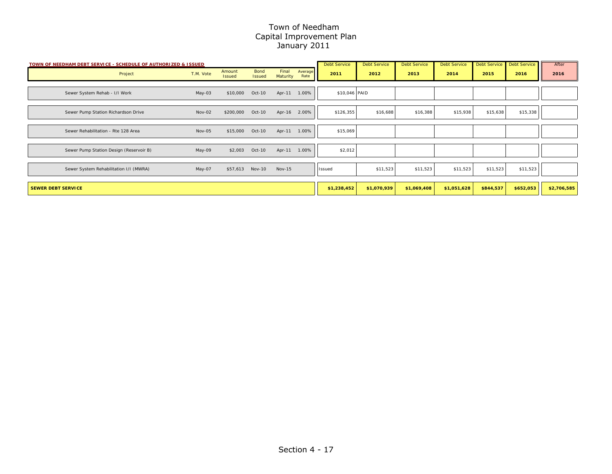|                           | <b>TOWN OF NEEDHAM DEBT SERVICE - SCHEDULE OF AUTHORIZED &amp; ISSUED</b> |           |                         |                              |                   |                 | <b>Debt Service</b> | <b>Debt Service</b> | <b>Debt Service</b> | <b>Debt Service</b> | Debt Service Debt Service |           | After       |
|---------------------------|---------------------------------------------------------------------------|-----------|-------------------------|------------------------------|-------------------|-----------------|---------------------|---------------------|---------------------|---------------------|---------------------------|-----------|-------------|
|                           | Project                                                                   | T.M. Vote | Amount<br><b>Issued</b> | <b>Bond</b><br><b>Issued</b> | Final<br>Maturity | Average<br>Rate | 2011                | 2012                | 2013                | 2014                | 2015                      | 2016      | 2016        |
|                           |                                                                           |           |                         |                              |                   |                 |                     |                     |                     |                     |                           |           |             |
|                           | Sewer System Rehab - I/I Work                                             | May-03    | \$10,000                | Oct-10                       | Apr-11            | 1.00%           | \$10,046 PAID       |                     |                     |                     |                           |           |             |
|                           |                                                                           |           |                         |                              |                   |                 |                     |                     |                     |                     |                           |           |             |
|                           | Sewer Pump Station Richardson Drive                                       | Nov-02    | \$200,000               | Oct-10                       | Apr-16            | 2.00%           | \$126,355           | \$16,688            | \$16,388            | \$15,938            | \$15,638                  | \$15,338  |             |
|                           |                                                                           |           |                         |                              |                   |                 |                     |                     |                     |                     |                           |           |             |
|                           | Sewer Rehabilitation - Rte 128 Area                                       | Nov-05    | \$15,000                | Oct-10                       |                   | Apr-11 1.00%    | \$15,069            |                     |                     |                     |                           |           |             |
|                           |                                                                           |           |                         |                              |                   |                 |                     |                     |                     |                     |                           |           |             |
|                           | Sewer Pump Station Design (Reservoir B)                                   | May-09    | \$2,003                 | Oct-10                       | Apr-11            | 1.00%           | \$2,012             |                     |                     |                     |                           |           |             |
|                           |                                                                           |           |                         |                              |                   |                 |                     |                     |                     |                     |                           |           |             |
|                           | Sewer System Rehabilitation I/I (MWRA)                                    | May-07    | \$57,613                | Nov-10                       | Nov-15            |                 | Issued              | \$11,523            | \$11,523            | \$11,523            | \$11,523                  | \$11,523  |             |
|                           |                                                                           |           |                         |                              |                   |                 |                     |                     |                     |                     |                           |           |             |
| <b>SEWER DEBT SERVICE</b> |                                                                           |           |                         |                              |                   |                 | \$1,238,452         | \$1,070,939         | \$1,069,408         | \$1,051,628         | \$844,537                 | \$652,053 | \$2,706,585 |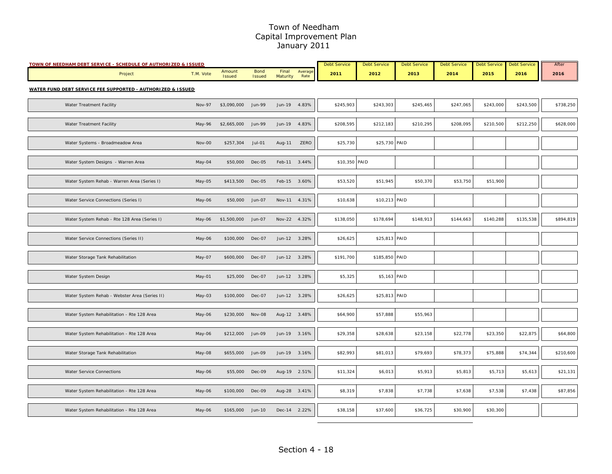| TOWN OF NEEDHAM DEBT SERVICE - SCHEDULE OF AUTHORIZED & ISSUED |           |                    |                              |                   |                 | <b>Debt Service</b> | <b>Debt Service</b> | <b>Debt Service</b> | <b>Debt Service</b> | <b>Debt Service</b> | <b>Debt Service</b> | After     |
|----------------------------------------------------------------|-----------|--------------------|------------------------------|-------------------|-----------------|---------------------|---------------------|---------------------|---------------------|---------------------|---------------------|-----------|
| Project                                                        | T.M. Vote | Amount<br>Issued   | <b>Bond</b><br><b>Issued</b> | Final<br>Maturity | Average<br>Rate | 2011                | 2012                | 2013                | 2014                | 2015                | 2016                | 2016      |
| WATER FUND DEBT SERVICE FEE SUPPORTED - AUTHORIZED & ISSUED    |           |                    |                              |                   |                 |                     |                     |                     |                     |                     |                     |           |
| Water Treatment Facility                                       | Nov-97    | \$3,090,000 Jun-99 |                              | Jun-19 4.83%      |                 | \$245,903           | \$243,303           | \$245,465           | \$247,065           | \$243,000           | \$243,500           | \$738,250 |
| Water Treatment Facility                                       | May-96    | \$2,665,000 Jun-99 |                              | Jun-19 4.83%      |                 | \$208,595           | \$212,183           | \$210,295           | \$208,095           | \$210,500           | \$212,250           | \$628,000 |
| Water Systems - Broadmeadow Area                               | Nov-00    | \$257,304 Jul-01   |                              | Aug-11 ZERO       |                 | \$25,730            | \$25,730 PAID       |                     |                     |                     |                     |           |
| Water System Designs - Warren Area                             | May-04    | \$50,000           | Dec-05                       | Feb-11 3.44%      |                 | \$10,350 PAID       |                     |                     |                     |                     |                     |           |
| Water System Rehab - Warren Area (Series I)                    | May-05    | \$413,500 Dec-05   |                              | Feb-15 3.60%      |                 | \$53,520            | \$51,945            | \$50,370            | \$53,750            | \$51,900            |                     |           |
| Water Service Connections (Series I)                           | May-06    | \$50,000           | Jun-07                       | Nov-11 4.31%      |                 | \$10,638            | \$10,213 PAID       |                     |                     |                     |                     |           |
| Water System Rehab - Rte 128 Area (Series I)                   | May-06    | \$1,500,000 Jun-07 |                              | Nov-22 4.32%      |                 | \$138,050           | \$178,694           | \$148,913           | \$144,663           | \$140,288           | \$135,538           | \$894,819 |
| Water Service Connections (Series II)                          | May-06    | \$100,000          | Dec-07                       | Jun-12 3.28%      |                 | \$26,625            | \$25,813 PAID       |                     |                     |                     |                     |           |
| Water Storage Tank Rehabilitation                              | May-07    | \$600,000          | Dec-07                       | Jun-12 3.28%      |                 | \$191,700           | \$185,850 PAID      |                     |                     |                     |                     |           |
| Water System Design                                            | May-01    | \$25,000           | Dec-07                       | Jun-12 3.28%      |                 | \$5,325             | \$5,163 PAID        |                     |                     |                     |                     |           |
| Water System Rehab - Webster Area (Series II)                  | May-03    | \$100,000          | Dec-07                       | Jun-12 3.28%      |                 | \$26,625            | \$25,813 PAID       |                     |                     |                     |                     |           |
| Water System Rehabilitation - Rte 128 Area                     | May-06    | \$230,000          | Nov-08                       | Aug-12 3.48%      |                 | \$64,900            | \$57,888            | \$55,963            |                     |                     |                     |           |
| Water System Rehabilitation - Rte 128 Area                     | May-06    | \$212,000          | Jun-09                       | Jun-19            | 3.16%           | \$29,358            | \$28,638            | \$23,158            | \$22,778            | \$23,350            | \$22,875            | \$64,800  |
| Water Storage Tank Rehabilitation                              | May-08    | \$655,000          | Jun-09                       | Jun-19            | 3.16%           | \$82,993            | \$81,013            | \$79,693            | \$78,373            | \$75,888            | \$74,344            | \$210,600 |
| Water Service Connections                                      | May-06    | \$55,000           | Dec-09                       | Aug-19 2.51%      |                 | \$11,324            | \$6,013             | \$5,913             | \$5,813             | \$5,713             | \$5,613             | \$21,131  |
| Water System Rehabilitation - Rte 128 Area                     | May-06    | \$100,000          | Dec-09                       | Aug-28 3.41%      |                 | \$8,319             | \$7,838             | \$7,738             | \$7,638             | \$7,538             | \$7,438             | \$87,856  |
| Water System Rehabilitation - Rte 128 Area                     | May-06    | \$165,000 Jun-10   |                              | Dec-14 2.22%      |                 | \$38,158            | \$37,600            | \$36,725            | \$30,900            | \$30,300            |                     |           |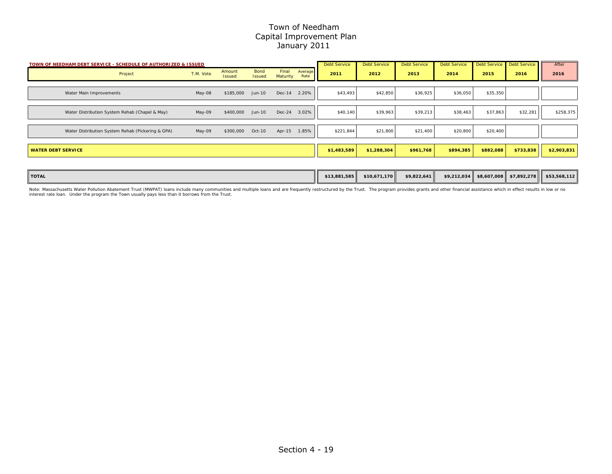| <b>TOWN OF NEEDHAM DEBT SERVICE - SCHEDULE OF AUTHORIZED &amp; ISSUED</b> |           |                         |                              |                   |                 | Debt Service | <b>Debt Service</b> | Debt Service | <b>Debt Service</b> | Debt Service Debt Service |           | After       |
|---------------------------------------------------------------------------|-----------|-------------------------|------------------------------|-------------------|-----------------|--------------|---------------------|--------------|---------------------|---------------------------|-----------|-------------|
| Project                                                                   | T.M. Vote | Amount<br><b>Issued</b> | <b>Bond</b><br><b>Issued</b> | Final<br>Maturity | Average<br>Rate | 2011         | 2012                | 2013         | 2014                | 2015                      | 2016      | 2016        |
|                                                                           |           |                         |                              |                   |                 |              |                     |              |                     |                           |           |             |
| Water Main Improvements                                                   | May-08    | \$185,000               | Jun-10                       | $Dec-14$          | 2.20%           | \$43,493     | \$42,850            | \$36,925     | \$36,050            | \$35,350                  |           |             |
|                                                                           |           |                         |                              |                   |                 |              |                     |              |                     |                           |           |             |
| Water Distribution System Rehab (Chapel & May)                            | May-09    | \$400,000               | Jun-10                       | $Dec-24$          | 3.02%           | \$40.140     | \$39.963            | \$39,213     | \$38,463            | \$37.863                  | \$32,281  | \$258,375   |
|                                                                           |           |                         |                              |                   |                 |              |                     |              |                     |                           |           |             |
| Water Distribution System Rehab (Pickering & GPA)                         | May-09    | \$300,000               | $Oct-10$                     | Apr-15            | 1.85%           | \$221.844    | \$21.800            | \$21,400     | \$20,800            | \$20,400                  |           |             |
|                                                                           |           |                         |                              |                   |                 |              |                     |              |                     |                           |           |             |
| <b>WATER DEBT SERVICE</b>                                                 |           |                         |                              |                   |                 | \$1,483,589  | \$1,288,304         | \$961.768    | \$894,385           | \$882,088                 | \$733,838 | \$2,903,831 |

| <b>TOTAL</b><br>\$13,881,585 | \$10.671.170 | \$9.822.641 | \$9,212,034 |  | \$8,607,008 \$7,892,278 | \$53,568,112 |
|------------------------------|--------------|-------------|-------------|--|-------------------------|--------------|
|------------------------------|--------------|-------------|-------------|--|-------------------------|--------------|

Note: Massachusetts Water Pollution Abatement Trust (MWPAT) loans include many communities and multiple loans and are frequently restructured by the Trust. The program provides grants and other financial assistance which i interest rate loan. Under the program the Town usually pays less than it borrows from the Trust.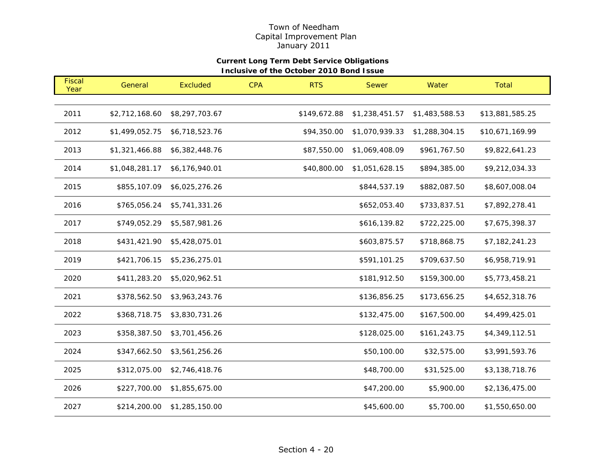# **Current Long Term Debt Service Obligations**

**Inclusive of the October 2010 Bond Issue**

| <b>Fiscal</b><br>Year | General        | <b>Excluded</b> | <b>CPA</b> | <b>RTS</b>   | <b>Sewer</b>   | Water          | <b>Total</b>    |
|-----------------------|----------------|-----------------|------------|--------------|----------------|----------------|-----------------|
|                       |                |                 |            |              |                |                |                 |
| 2011                  | \$2,712,168.60 | \$8,297,703.67  |            | \$149,672.88 | \$1,238,451.57 | \$1,483,588.53 | \$13,881,585.25 |
| 2012                  | \$1,499,052.75 | \$6,718,523.76  |            | \$94,350.00  | \$1,070,939.33 | \$1,288,304.15 | \$10,671,169.99 |
| 2013                  | \$1,321,466.88 | \$6,382,448.76  |            | \$87,550.00  | \$1,069,408.09 | \$961,767.50   | \$9,822,641.23  |
| 2014                  | \$1,048,281.17 | \$6,176,940.01  |            | \$40,800.00  | \$1,051,628.15 | \$894,385.00   | \$9,212,034.33  |
| 2015                  | \$855,107.09   | \$6,025,276.26  |            |              | \$844,537.19   | \$882,087.50   | \$8,607,008.04  |
| 2016                  | \$765,056.24   | \$5,741,331.26  |            |              | \$652,053.40   | \$733,837.51   | \$7,892,278.41  |
| 2017                  | \$749,052.29   | \$5,587,981.26  |            |              | \$616,139.82   | \$722,225.00   | \$7,675,398.37  |
| 2018                  | \$431,421.90   | \$5,428,075.01  |            |              | \$603,875.57   | \$718,868.75   | \$7,182,241.23  |
| 2019                  | \$421,706.15   | \$5,236,275.01  |            |              | \$591,101.25   | \$709,637.50   | \$6,958,719.91  |
| 2020                  | \$411,283.20   | \$5,020,962.51  |            |              | \$181,912.50   | \$159,300.00   | \$5,773,458.21  |
| 2021                  | \$378,562.50   | \$3,963,243.76  |            |              | \$136,856.25   | \$173,656.25   | \$4,652,318.76  |
| 2022                  | \$368,718.75   | \$3,830,731.26  |            |              | \$132,475.00   | \$167,500.00   | \$4,499,425.01  |
| 2023                  | \$358,387.50   | \$3,701,456.26  |            |              | \$128,025.00   | \$161,243.75   | \$4,349,112.51  |
| 2024                  | \$347,662.50   | \$3,561,256.26  |            |              | \$50,100.00    | \$32,575.00    | \$3,991,593.76  |
| 2025                  | \$312,075.00   | \$2,746,418.76  |            |              | \$48,700.00    | \$31,525.00    | \$3,138,718.76  |
| 2026                  | \$227,700.00   | \$1,855,675.00  |            |              | \$47,200.00    | \$5,900.00     | \$2,136,475.00  |
| 2027                  | \$214,200.00   | \$1,285,150.00  |            |              | \$45,600.00    | \$5,700.00     | \$1,550,650.00  |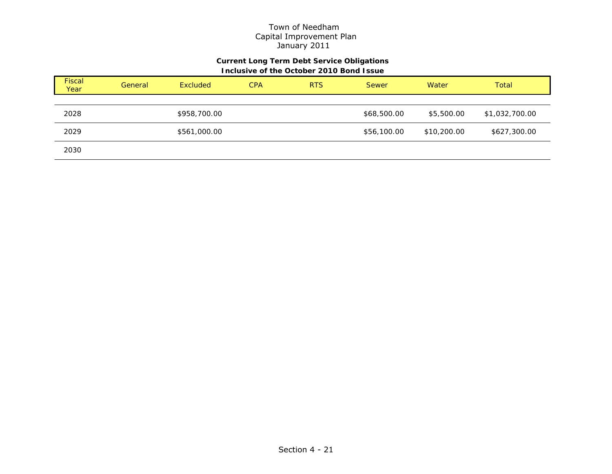# **Current Long Term Debt Service Obligations**

#### **Inclusive of the October 2010 Bond Issue**

| <b>Fiscal</b><br>Year | General | Excluded     | <b>CPA</b> | <b>RTS</b> | <b>Sewer</b> | Water       | Total          |
|-----------------------|---------|--------------|------------|------------|--------------|-------------|----------------|
|                       |         |              |            |            |              |             |                |
| 2028                  |         | \$958,700.00 |            |            | \$68,500.00  | \$5,500.00  | \$1,032,700.00 |
| 2029                  |         | \$561,000.00 |            |            | \$56,100.00  | \$10,200.00 | \$627,300.00   |
| 2030                  |         |              |            |            |              |             |                |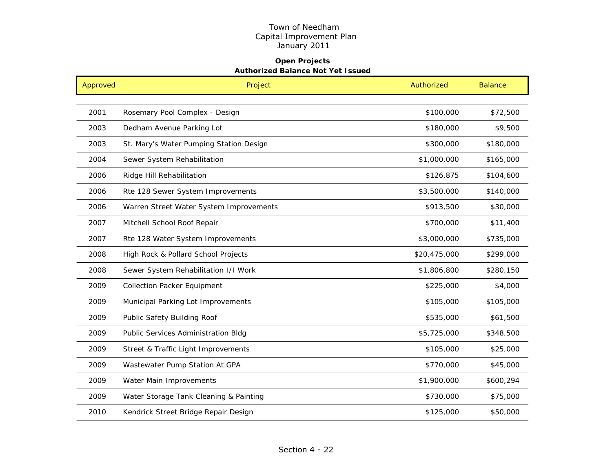# **Open Projects Authorized Balance Not Yet Issued**

| Approved | Project                                 | Authorized   | <b>Balance</b> |
|----------|-----------------------------------------|--------------|----------------|
|          |                                         |              |                |
| 2001     | Rosemary Pool Complex - Design          | \$100,000    | \$72,500       |
| 2003     | Dedham Avenue Parking Lot               | \$180,000    | \$9,500        |
| 2003     | St. Mary's Water Pumping Station Design | \$300,000    | \$180,000      |
| 2004     | Sewer System Rehabilitation             | \$1,000,000  | \$165,000      |
| 2006     | Ridge Hill Rehabilitation               | \$126,875    | \$104,600      |
| 2006     | Rte 128 Sewer System Improvements       | \$3,500,000  | \$140,000      |
| 2006     | Warren Street Water System Improvements | \$913,500    | \$30,000       |
| 2007     | Mitchell School Roof Repair             | \$700,000    | \$11,400       |
| 2007     | Rte 128 Water System Improvements       | \$3,000,000  | \$735,000      |
| 2008     | High Rock & Pollard School Projects     | \$20,475,000 | \$299,000      |
| 2008     | Sewer System Rehabilitation I/I Work    | \$1,806,800  | \$280,150      |
| 2009     | <b>Collection Packer Equipment</b>      | \$225,000    | \$4,000        |
| 2009     | Municipal Parking Lot Improvements      | \$105,000    | \$105,000      |
| 2009     | Public Safety Building Roof             | \$535,000    | \$61,500       |
| 2009     | Public Services Administration Bldg     | \$5,725,000  | \$348,500      |
| 2009     | Street & Traffic Light Improvements     | \$105,000    | \$25,000       |
| 2009     | Wastewater Pump Station At GPA          | \$770,000    | \$45,000       |
| 2009     | Water Main Improvements                 | \$1,900,000  | \$600,294      |
| 2009     | Water Storage Tank Cleaning & Painting  | \$730,000    | \$75,000       |
| 2010     | Kendrick Street Bridge Repair Design    | \$125,000    | \$50,000       |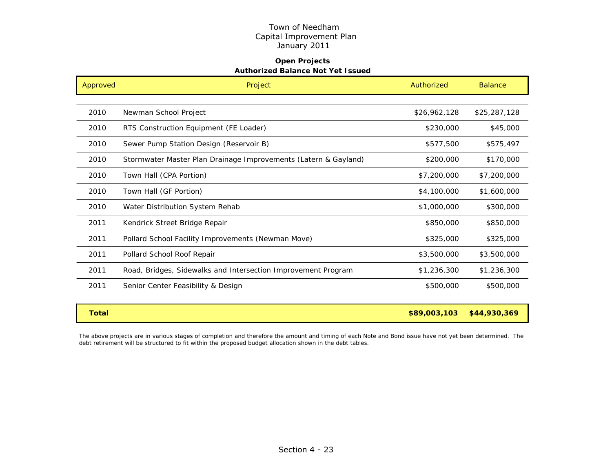#### **Open Projects Authorized Balance Not Yet Issued**

| Approved | Project                                                         | Authorized   | <b>Balance</b> |
|----------|-----------------------------------------------------------------|--------------|----------------|
|          |                                                                 |              |                |
| 2010     | Newman School Project                                           | \$26,962,128 | \$25,287,128   |
| 2010     | RTS Construction Equipment (FE Loader)                          | \$230,000    | \$45,000       |
| 2010     | Sewer Pump Station Design (Reservoir B)                         | \$577,500    | \$575,497      |
| 2010     | Stormwater Master Plan Drainage Improvements (Latern & Gayland) | \$200,000    | \$170,000      |
| 2010     | Town Hall (CPA Portion)                                         | \$7,200,000  | \$7,200,000    |
| 2010     | Town Hall (GF Portion)                                          | \$4,100,000  | \$1,600,000    |
| 2010     | Water Distribution System Rehab                                 | \$1,000,000  | \$300,000      |
| 2011     | Kendrick Street Bridge Repair                                   | \$850,000    | \$850,000      |
| 2011     | Pollard School Facility Improvements (Newman Move)              | \$325,000    | \$325,000      |
| 2011     | Pollard School Roof Repair                                      | \$3,500,000  | \$3,500,000    |
| 2011     | Road, Bridges, Sidewalks and Intersection Improvement Program   | \$1,236,300  | \$1,236,300    |
| 2011     | Senior Center Feasibility & Design                              | \$500,000    | \$500,000      |
|          |                                                                 |              |                |

|--|

The above projects are in various stages of completion and therefore the amount and timing of each Note and Bond issue have not yet been determined. The debt retirement will be structured to fit within the proposed budget allocation shown in the debt tables.